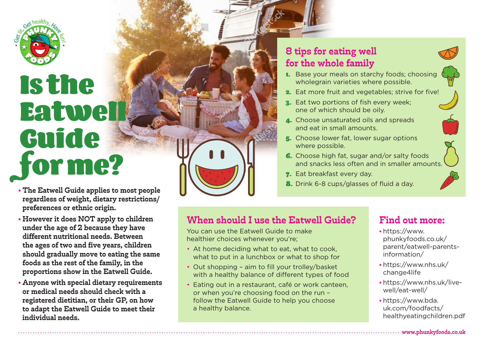

## Is the **Eatwell** Guide for me?

- **The Eatwell Guide applies to most people regardless of weight, dietary restrictions/ preferences or ethnic origin.**
- **However it does NOT apply to children under the age of 2 because they have different nutritional needs. Between the ages of two and five years, children should gradually move to eating the same foods as the rest of the family, in the proportions show in the Eatwell Guide.**
- **Anyone with special dietary requirements or medical needs should check with a registered dietitian, or their GP, on how to adapt the Eatwell Guide to meet their individual needs.**

## **8 tips for eating well for the whole family**

- 1. Base your meals on starchy foods; choosing wholegrain varieties where possible.
- 2. Eat more fruit and vegetables; strive for five!
- 3. Eat two portions of fish every week; one of which should be oily.
- 4. Choose unsaturated oils and spreads and eat in small amounts.
- 5. Choose lower fat, lower sugar options where possible.
- 6. Choose high fat, sugar and/or salty foods and snacks less often and in smaller amounts.
- **7.** Eat breakfast every day.
- 8. Drink 6-8 cups/glasses of fluid a day.

## **When should I use the Eatwell Guide?**

You can use the Eatwell Guide to make healthier choices whenever you're;

- At home deciding what to eat, what to cook, what to put in a lunchbox or what to shop for
- Out shopping aim to fill your trolley/basket with a healthy balance of different types of food
- Eating out in a restaurant, café or work canteen, or when you're choosing food on the run – follow the Eatwell Guide to help you choose a healthy balance.

## **Find out more:**

- https://www. phunkyfoods.co.uk/ parent/eatwell-parentsinformation/
- https://www.nhs.uk/ change4life
- https://www.nhs.uk/livewell/eat-well/
- https://www.bda. uk.com/foodfacts/ healthyeatingchildren.pdf

**www.phunkyfoods.co.uk**